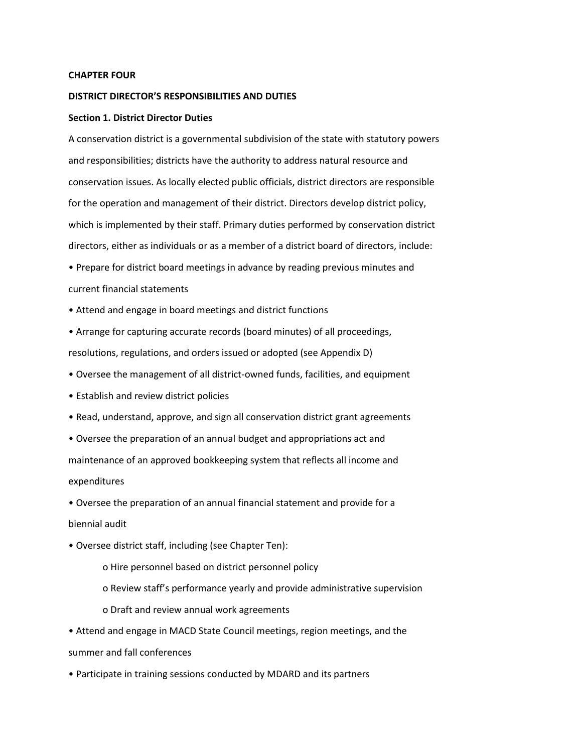#### **CHAPTER FOUR**

### **DISTRICT DIRECTOR'S RESPONSIBILITIES AND DUTIES**

#### **Section 1. District Director Duties**

A conservation district is a governmental subdivision of the state with statutory powers and responsibilities; districts have the authority to address natural resource and conservation issues. As locally elected public officials, district directors are responsible for the operation and management of their district. Directors develop district policy, which is implemented by their staff. Primary duties performed by conservation district directors, either as individuals or as a member of a district board of directors, include:

- Prepare for district board meetings in advance by reading previous minutes and current financial statements
- Attend and engage in board meetings and district functions
- Arrange for capturing accurate records (board minutes) of all proceedings, resolutions, regulations, and orders issued or adopted (see Appendix D)
- Oversee the management of all district-owned funds, facilities, and equipment
- Establish and review district policies
- Read, understand, approve, and sign all conservation district grant agreements
- Oversee the preparation of an annual budget and appropriations act and maintenance of an approved bookkeeping system that reflects all income and expenditures

• Oversee the preparation of an annual financial statement and provide for a biennial audit

- Oversee district staff, including (see Chapter Ten):
	- o Hire personnel based on district personnel policy
	- o Review staff's performance yearly and provide administrative supervision
	- o Draft and review annual work agreements

• Attend and engage in MACD State Council meetings, region meetings, and the summer and fall conferences

• Participate in training sessions conducted by MDARD and its partners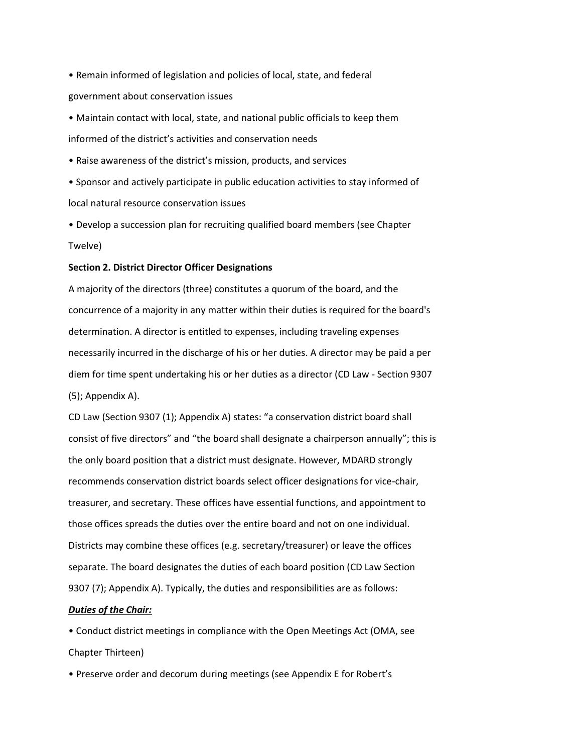• Remain informed of legislation and policies of local, state, and federal government about conservation issues

• Maintain contact with local, state, and national public officials to keep them informed of the district's activities and conservation needs

• Raise awareness of the district's mission, products, and services

• Sponsor and actively participate in public education activities to stay informed of local natural resource conservation issues

• Develop a succession plan for recruiting qualified board members (see Chapter Twelve)

## **Section 2. District Director Officer Designations**

A majority of the directors (three) constitutes a quorum of the board, and the concurrence of a majority in any matter within their duties is required for the board's determination. A director is entitled to expenses, including traveling expenses necessarily incurred in the discharge of his or her duties. A director may be paid a per diem for time spent undertaking his or her duties as a director (CD Law - Section 9307 (5); Appendix A).

CD Law (Section 9307 (1); Appendix A) states: "a conservation district board shall consist of five directors" and "the board shall designate a chairperson annually"; this is the only board position that a district must designate. However, MDARD strongly recommends conservation district boards select officer designations for vice-chair, treasurer, and secretary. These offices have essential functions, and appointment to those offices spreads the duties over the entire board and not on one individual. Districts may combine these offices (e.g. secretary/treasurer) or leave the offices separate. The board designates the duties of each board position (CD Law Section 9307 (7); Appendix A). Typically, the duties and responsibilities are as follows:

#### *Duties of the Chair:*

• Conduct district meetings in compliance with the Open Meetings Act (OMA, see Chapter Thirteen)

• Preserve order and decorum during meetings (see Appendix E for Robert's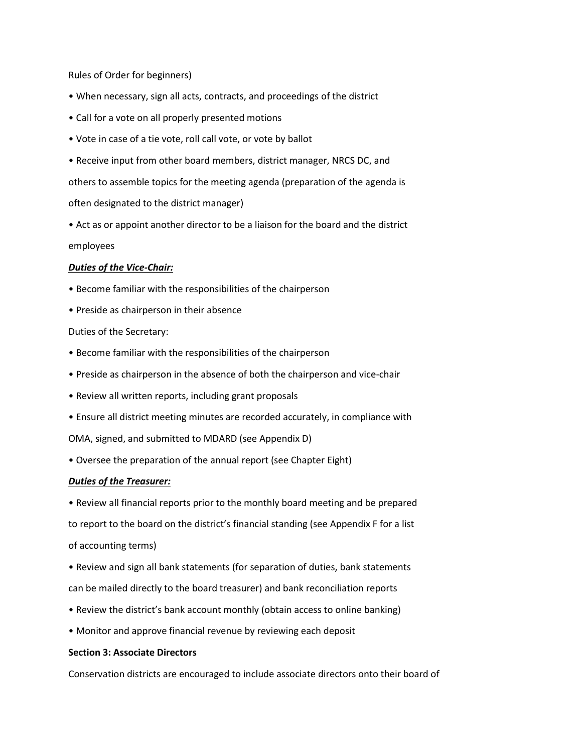Rules of Order for beginners)

- When necessary, sign all acts, contracts, and proceedings of the district
- Call for a vote on all properly presented motions
- Vote in case of a tie vote, roll call vote, or vote by ballot

• Receive input from other board members, district manager, NRCS DC, and others to assemble topics for the meeting agenda (preparation of the agenda is often designated to the district manager)

• Act as or appoint another director to be a liaison for the board and the district employees

## *Duties of the Vice-Chair:*

- Become familiar with the responsibilities of the chairperson
- Preside as chairperson in their absence

Duties of the Secretary:

- Become familiar with the responsibilities of the chairperson
- Preside as chairperson in the absence of both the chairperson and vice-chair
- Review all written reports, including grant proposals
- Ensure all district meeting minutes are recorded accurately, in compliance with

OMA, signed, and submitted to MDARD (see Appendix D)

• Oversee the preparation of the annual report (see Chapter Eight)

### *Duties of the Treasurer:*

• Review all financial reports prior to the monthly board meeting and be prepared to report to the board on the district's financial standing (see Appendix F for a list of accounting terms)

- Review and sign all bank statements (for separation of duties, bank statements can be mailed directly to the board treasurer) and bank reconciliation reports
- Review the district's bank account monthly (obtain access to online banking)
- Monitor and approve financial revenue by reviewing each deposit

## **Section 3: Associate Directors**

Conservation districts are encouraged to include associate directors onto their board of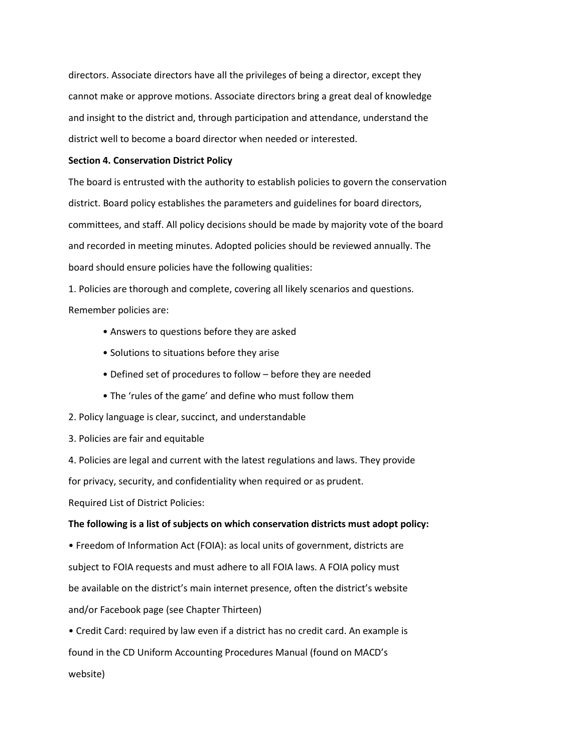directors. Associate directors have all the privileges of being a director, except they cannot make or approve motions. Associate directors bring a great deal of knowledge and insight to the district and, through participation and attendance, understand the district well to become a board director when needed or interested.

### **Section 4. Conservation District Policy**

The board is entrusted with the authority to establish policies to govern the conservation district. Board policy establishes the parameters and guidelines for board directors, committees, and staff. All policy decisions should be made by majority vote of the board and recorded in meeting minutes. Adopted policies should be reviewed annually. The board should ensure policies have the following qualities:

1. Policies are thorough and complete, covering all likely scenarios and questions. Remember policies are:

- Answers to questions before they are asked
- Solutions to situations before they arise
- Defined set of procedures to follow before they are needed
- The 'rules of the game' and define who must follow them
- 2. Policy language is clear, succinct, and understandable
- 3. Policies are fair and equitable

4. Policies are legal and current with the latest regulations and laws. They provide for privacy, security, and confidentiality when required or as prudent.

Required List of District Policies:

### **The following is a list of subjects on which conservation districts must adopt policy:**

• Freedom of Information Act (FOIA): as local units of government, districts are subject to FOIA requests and must adhere to all FOIA laws. A FOIA policy must be available on the district's main internet presence, often the district's website and/or Facebook page (see Chapter Thirteen)

• Credit Card: required by law even if a district has no credit card. An example is found in the CD Uniform Accounting Procedures Manual (found on MACD's website)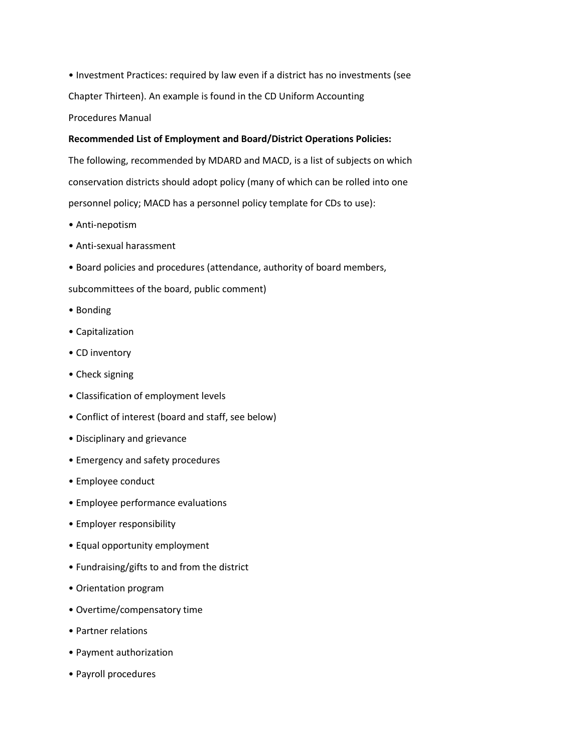• Investment Practices: required by law even if a district has no investments (see Chapter Thirteen). An example is found in the CD Uniform Accounting Procedures Manual

# **Recommended List of Employment and Board/District Operations Policies:**

The following, recommended by MDARD and MACD, is a list of subjects on which conservation districts should adopt policy (many of which can be rolled into one personnel policy; MACD has a personnel policy template for CDs to use):

- Anti-nepotism
- Anti-sexual harassment
- Board policies and procedures (attendance, authority of board members,
- subcommittees of the board, public comment)
- Bonding
- Capitalization
- CD inventory
- Check signing
- Classification of employment levels
- Conflict of interest (board and staff, see below)
- Disciplinary and grievance
- Emergency and safety procedures
- Employee conduct
- Employee performance evaluations
- Employer responsibility
- Equal opportunity employment
- Fundraising/gifts to and from the district
- Orientation program
- Overtime/compensatory time
- Partner relations
- Payment authorization
- Payroll procedures